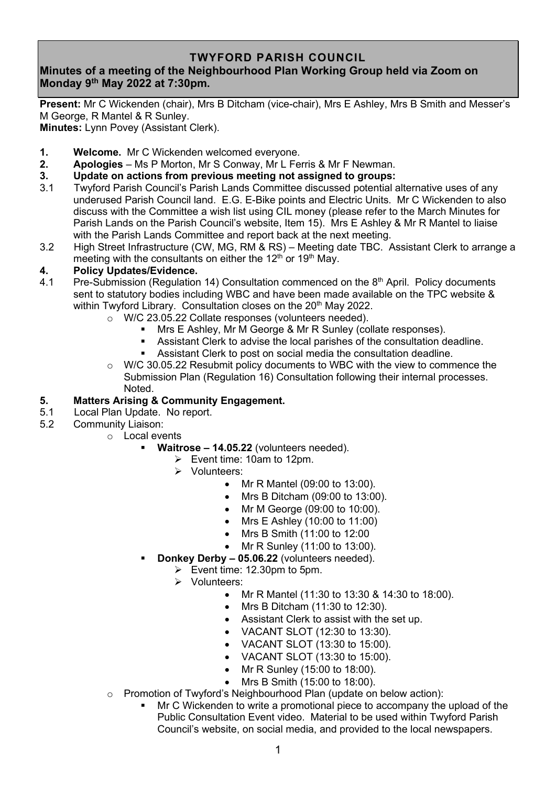### **TWYFORD PARISH COUNCIL**

# **Minutes of a meeting of the Neighbourhood Plan Working Group held via Zoom on Monday 9 th May 2022 at 7:30pm.**

**Present:** Mr C Wickenden (chair), Mrs B Ditcham (vice-chair), Mrs E Ashley, Mrs B Smith and Messer's M George, R Mantel & R Sunley.

**Minutes:** Lynn Povey (Assistant Clerk).

- **1. Welcome.** Mr C Wickenden welcomed everyone.
- **2. Apologies** Ms P Morton, Mr S Conway, Mr L Ferris & Mr F Newman.
- **3. Update on actions from previous meeting not assigned to groups:**
- 3.1 Twyford Parish Council's Parish Lands Committee discussed potential alternative uses of any underused Parish Council land. E.G. E-Bike points and Electric Units. Mr C Wickenden to also discuss with the Committee a wish list using CIL money (please refer to the March Minutes for Parish Lands on the Parish Council's website, Item 15). Mrs E Ashley & Mr R Mantel to liaise with the Parish Lands Committee and report back at the next meeting.
- 3.2 High Street Infrastructure (CW, MG, RM & RS) Meeting date TBC. Assistant Clerk to arrange a meeting with the consultants on either the  $12<sup>th</sup>$  or  $19<sup>th</sup>$  May.

#### **4. Policy Updates/Evidence.**

- 4.1 Pre-Submission (Regulation 14) Consultation commenced on the 8th April. Policy documents sent to statutory bodies including WBC and have been made available on the TPC website & within Twyford Library. Consultation closes on the 20<sup>th</sup> May 2022.
	- o W/C 23.05.22 Collate responses (volunteers needed).
		- Mrs E Ashley, Mr M George & Mr R Sunley (collate responses).
		- Assistant Clerk to advise the local parishes of the consultation deadline.<br>■ Assistant Clerk to post on social media the consultation deadline
		- Assistant Clerk to post on social media the consultation deadline.
	- o W/C 30.05.22 Resubmit policy documents to WBC with the view to commence the Submission Plan (Regulation 16) Consultation following their internal processes. Noted.

### **5. Matters Arising & Community Engagement.**

- 5.1 Local Plan Update. No report.<br>5.2 Community Liaison:
- Community Liaison:
	- o Local events
		- **Waitrose 14.05.22** (volunteers needed).
			- ➢ Event time: 10am to 12pm.
			- ➢ Volunteers:
				- Mr R Mantel (09:00 to 13:00).
				- Mrs B Ditcham (09:00 to 13:00).
				- Mr M George (09:00 to 10:00).
				- Mrs E Ashley (10:00 to 11:00)
				- Mrs B Smith (11:00 to 12:00
				- Mr R Sunley (11:00 to 13:00).
			- **Donkey Derby 05.06.22** (volunteers needed).
				- ➢ Event time: 12.30pm to 5pm.
				- ➢ Volunteers:
					- Mr R Mantel (11:30 to 13:30 & 14:30 to 18:00).
					- Mrs B Ditcham (11:30 to 12:30).
					- Assistant Clerk to assist with the set up.
					- VACANT SLOT (12:30 to 13:30).
					- VACANT SLOT (13:30 to 15:00).
					- VACANT SLOT (13:30 to 15:00).
					- Mr R Sunley (15:00 to 18:00).
					- Mrs B Smith (15:00 to 18:00).
		- o Promotion of Twyford's Neighbourhood Plan (update on below action):
			- Mr C Wickenden to write a promotional piece to accompany the upload of the Public Consultation Event video. Material to be used within Twyford Parish Council's website, on social media, and provided to the local newspapers.